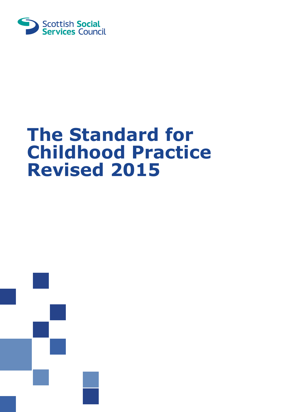

# **The Standard for Childhood Practice Revised 2015**

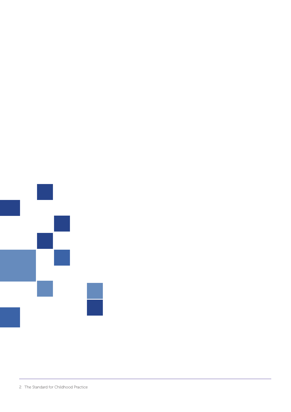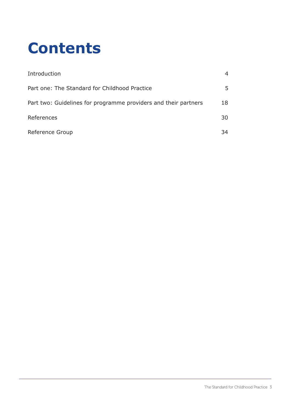# **Contents**

| Introduction                                                    | 4  |
|-----------------------------------------------------------------|----|
| Part one: The Standard for Childhood Practice                   | 5  |
| Part two: Guidelines for programme providers and their partners | 18 |
| References                                                      | 30 |
| Reference Group                                                 | 34 |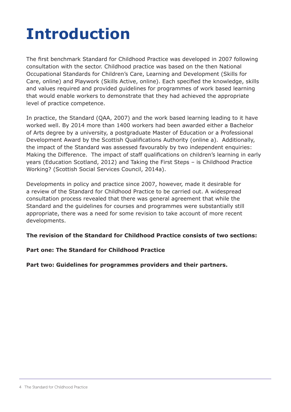# **Introduction**

The first benchmark Standard for Childhood Practice was developed in 2007 following consultation with the sector. Childhood practice was based on the then National Occupational Standards for Children's Care, Learning and Development (Skills for Care, online) and Playwork (Skills Active, online). Each specified the knowledge, skills and values required and provided guidelines for programmes of work based learning that would enable workers to demonstrate that they had achieved the appropriate level of practice competence.

In practice, the Standard (QAA, 2007) and the work based learning leading to it have worked well. By 2014 more than 1400 workers had been awarded either a Bachelor of Arts degree by a university, a postgraduate Master of Education or a Professional Development Award by the Scottish Qualifications Authority (online a). Additionally, the impact of the Standard was assessed favourably by two independent enquiries: Making the Difference. The impact of staff qualifications on children's learning in early years (Education Scotland, 2012) and Taking the First Steps – is Childhood Practice Working? (Scottish Social Services Council, 2014a).

Developments in policy and practice since 2007, however, made it desirable for a review of the Standard for Childhood Practice to be carried out. A widespread consultation process revealed that there was general agreement that while the Standard and the guidelines for courses and programmes were substantially still appropriate, there was a need for some revision to take account of more recent developments.

#### **The revision of the Standard for Childhood Practice consists of two sections:**

#### **Part one: The Standard for Childhood Practice**

**Part two: Guidelines for programmes providers and their partners.**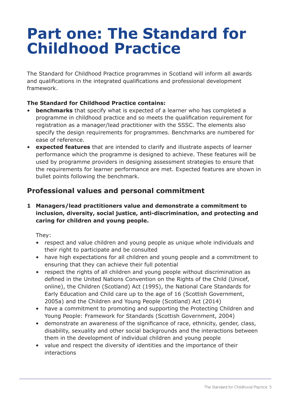# **Part one: The Standard for Childhood Practice**

The Standard for Childhood Practice programmes in Scotland will inform all awards and qualifications in the integrated qualifications and professional development framework.

#### **The Standard for Childhood Practice contains:**

- **benchmarks** that specify what is expected of a learner who has completed a programme in childhood practice and so meets the qualification requirement for registration as a manager/lead practitioner with the SSSC. The elements also specify the design requirements for programmes. Benchmarks are numbered for ease of reference.
- **expected features** that are intended to clarify and illustrate aspects of learner performance which the programme is designed to achieve. These features will be used by programme providers in designing assessment strategies to ensure that the requirements for learner performance are met. Expected features are shown in bullet points following the benchmark.

## **Professional values and personal commitment**

**1 Managers/lead practitioners value and demonstrate a commitment to inclusion, diversity, social justice, anti-discrimination, and protecting and caring for children and young people.**

- respect and value children and young people as unique whole individuals and their right to participate and be consulted
- have high expectations for all children and young people and a commitment to ensuring that they can achieve their full potential
- respect the rights of all children and young people without discrimination as defined in the United Nations Convention on the Rights of the Child (Unicef, online), the Children (Scotland) Act (1995), the National Care Standards for Early Education and Child care up to the age of 16 (Scottish Government, 2005a) and the Children and Young People (Scotland) Act (2014)
- have a commitment to promoting and supporting the Protecting Children and Young People: Framework for Standards (Scottish Government, 2004)
- demonstrate an awareness of the significance of race, ethnicity, gender, class, disability, sexuality and other social backgrounds and the interactions between them in the development of individual children and young people
- value and respect the diversity of identities and the importance of their interactions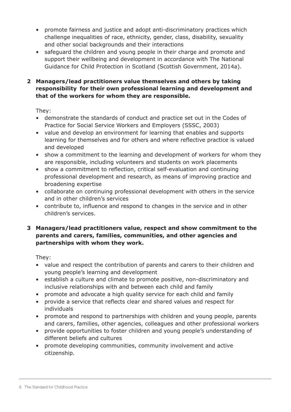- promote fairness and justice and adopt anti-discriminatory practices which challenge inequalities of race, ethnicity, gender, class, disability, sexuality and other social backgrounds and their interactions
- safeguard the children and young people in their charge and promote and support their wellbeing and development in accordance with The National Guidance for Child Protection in Scotland (Scottish Government, 2014a).

#### **2 Managers/lead practitioners value themselves and others by taking responsibility for their own professional learning and development and that of the workers for whom they are responsible.**

They:

- demonstrate the standards of conduct and practice set out in the Codes of Practice for Social Service Workers and Employers (SSSC, 2003)
- value and develop an environment for learning that enables and supports learning for themselves and for others and where reflective practice is valued and developed
- show a commitment to the learning and development of workers for whom they are responsible, including volunteers and students on work placements
- show a commitment to reflection, critical self-evaluation and continuing professional development and research, as means of improving practice and broadening expertise
- collaborate on continuing professional development with others in the service and in other children's services
- contribute to, influence and respond to changes in the service and in other children's services.

#### **3 Managers/lead practitioners value, respect and show commitment to the parents and carers, families, communities, and other agencies and partnerships with whom they work.**

- value and respect the contribution of parents and carers to their children and young people's learning and development
- establish a culture and climate to promote positive, non-discriminatory and inclusive relationships with and between each child and family
- promote and advocate a high quality service for each child and family
- provide a service that reflects clear and shared values and respect for individuals
- promote and respond to partnerships with children and young people, parents and carers, families, other agencies, colleagues and other professional workers
- provide opportunities to foster children and young people's understanding of different beliefs and cultures
- promote developing communities, community involvement and active citizenship.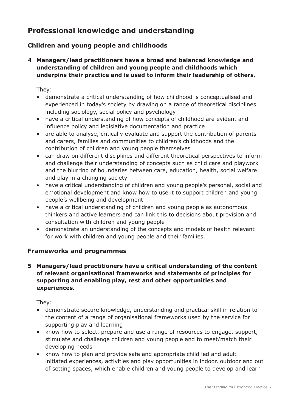## **Professional knowledge and understanding**

### **Children and young people and childhoods**

**4 Managers/lead practitioners have a broad and balanced knowledge and understanding of children and young people and childhoods which underpins their practice and is used to inform their leadership of others.**

They:

- demonstrate a critical understanding of how childhood is conceptualised and experienced in today's society by drawing on a range of theoretical disciplines including sociology, social policy and psychology
- have a critical understanding of how concepts of childhood are evident and influence policy and legislative documentation and practice
- are able to analyse, critically evaluate and support the contribution of parents and carers, families and communities to children's childhoods and the contribution of children and young people themselves
- can draw on different disciplines and different theoretical perspectives to inform and challenge their understanding of concepts such as child care and playwork and the blurring of boundaries between care, education, health, social welfare and play in a changing society
- have a critical understanding of children and young people's personal, social and emotional development and know how to use it to support children and young people's wellbeing and development
- have a critical understanding of children and young people as autonomous thinkers and active learners and can link this to decisions about provision and consultation with children and young people
- demonstrate an understanding of the concepts and models of health relevant for work with children and young people and their families.

#### **Frameworks and programmes**

**5 Managers/lead practitioners have a critical understanding of the content of relevant organisational frameworks and statements of principles for supporting and enabling play, rest and other opportunities and experiences.**

- demonstrate secure knowledge, understanding and practical skill in relation to the content of a range of organisational frameworks used by the service for supporting play and learning
- know how to select, prepare and use a range of resources to engage, support, stimulate and challenge children and young people and to meet/match their developing needs
- know how to plan and provide safe and appropriate child led and adult initiated experiences, activities and play opportunities in indoor, outdoor and out of setting spaces, which enable children and young people to develop and learn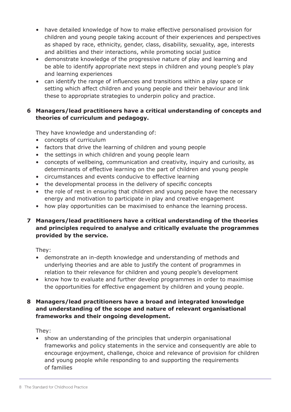- have detailed knowledge of how to make effective personalised provision for children and young people taking account of their experiences and perspectives as shaped by race, ethnicity, gender, class, disability, sexuality, age, interests and abilities and their interactions, while promoting social justice
- demonstrate knowledge of the progressive nature of play and learning and be able to identify appropriate next steps in children and young people's play and learning experiences
- can identify the range of influences and transitions within a play space or setting which affect children and young people and their behaviour and link these to appropriate strategies to underpin policy and practice.

#### **6 Managers/lead practitioners have a critical understanding of concepts and theories of curriculum and pedagogy.**

They have knowledge and understanding of:

- concepts of curriculum
- factors that drive the learning of children and young people
- the settings in which children and young people learn
- concepts of wellbeing, communication and creativity, inquiry and curiosity, as determinants of effective learning on the part of children and young people
- circumstances and events conducive to effective learning
- the developmental process in the delivery of specific concepts
- the role of rest in ensuring that children and young people have the necessary energy and motivation to participate in play and creative engagement
- how play opportunities can be maximised to enhance the learning process.

#### **7 Managers/lead practitioners have a critical understanding of the theories and principles required to analyse and critically evaluate the programmes provided by the service.**

They:

- demonstrate an in-depth knowledge and understanding of methods and underlying theories and are able to justify the content of programmes in relation to their relevance for children and young people's development
- know how to evaluate and further develop programmes in order to maximise the opportunities for effective engagement by children and young people.

#### **8 Managers/lead practitioners have a broad and integrated knowledge and understanding of the scope and nature of relevant organisational frameworks and their ongoing development.**

They:

• show an understanding of the principles that underpin organisational frameworks and policy statements in the service and consequently are able to encourage enjoyment, challenge, choice and relevance of provision for children and young people while responding to and supporting the requirements of families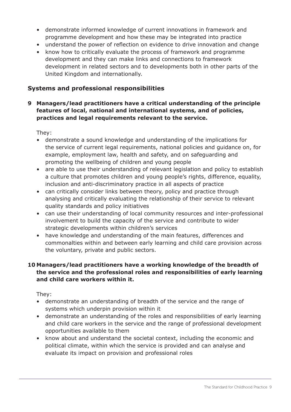- demonstrate informed knowledge of current innovations in framework and programme development and how these may be integrated into practice
- understand the power of reflection on evidence to drive innovation and change
- know how to critically evaluate the process of framework and programme development and they can make links and connections to framework development in related sectors and to developments both in other parts of the United Kingdom and internationally.

#### **Systems and professional responsibilities**

#### **9 Managers/lead practitioners have a critical understanding of the principle features of local, national and international systems, and of policies, practices and legal requirements relevant to the service.**

They:

- demonstrate a sound knowledge and understanding of the implications for the service of current legal requirements, national policies and guidance on, for example, employment law, health and safety, and on safeguarding and promoting the wellbeing of children and young people
- are able to use their understanding of relevant legislation and policy to establish a culture that promotes children and young people's rights, difference, equality, inclusion and anti-discriminatory practice in all aspects of practice
- can critically consider links between theory, policy and practice through analysing and critically evaluating the relationship of their service to relevant quality standards and policy initiatives
- can use their understanding of local community resources and inter-professional involvement to build the capacity of the service and contribute to wider strategic developments within children's services
- have knowledge and understanding of the main features, differences and commonalties within and between early learning and child care provision across the voluntary, private and public sectors.

#### **10 Managers/lead practitioners have a working knowledge of the breadth of the service and the professional roles and responsibilities of early learning and child care workers within it.**

- demonstrate an understanding of breadth of the service and the range of systems which underpin provision within it
- demonstrate an understanding of the roles and responsibilities of early learning and child care workers in the service and the range of professional development opportunities available to them
- know about and understand the societal context, including the economic and political climate, within which the service is provided and can analyse and evaluate its impact on provision and professional roles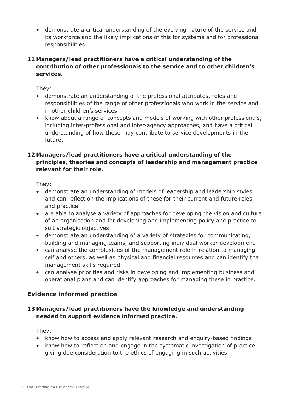• demonstrate a critical understanding of the evolving nature of the service and its workforce and the likely implications of this for systems and for professional responsibilities.

#### **11 Managers/lead practitioners have a critical understanding of the contribution of other professionals to the service and to other children's services.**

They:

- demonstrate an understanding of the professional attributes, roles and responsibilities of the range of other professionals who work in the service and in other children's services
- know about a range of concepts and models of working with other professionals, including inter-professional and inter-agency approaches, and have a critical understanding of how these may contribute to service developments in the future.

### **12 Managers/lead practitioners have a critical understanding of the principles, theories and concepts of leadership and management practice relevant for their role.**

They:

- demonstrate an understanding of models of leadership and leadership styles and can reflect on the implications of these for their current and future roles and practice
- are able to analyse a variety of approaches for developing the vision and culture of an organisation and for developing and implementing policy and practice to suit strategic objectives
- demonstrate an understanding of a variety of strategies for communicating, building and managing teams, and supporting individual worker development
- can analyse the complexities of the management role in relation to managing self and others, as well as physical and financial resources and can identify the management skills required
- can analyse priorities and risks in developing and implementing business and operational plans and can identify approaches for managing these in practice.

### **Evidence informed practice**

#### **13 Managers/lead practitioners have the knowledge and understanding needed to support evidence informed practice.**

- know how to access and apply relevant research and enquiry-based findings
- know how to reflect on and engage in the systematic investigation of practice giving due consideration to the ethics of engaging in such activities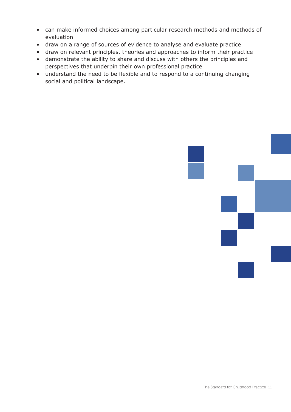- can make informed choices among particular research methods and methods of evaluation
- draw on a range of sources of evidence to analyse and evaluate practice
- draw on relevant principles, theories and approaches to inform their practice
- demonstrate the ability to share and discuss with others the principles and perspectives that underpin their own professional practice
- understand the need to be flexible and to respond to a continuing changing social and political landscape.

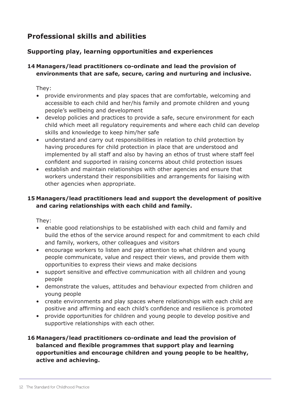## **Professional skills and abilities**

### **Supporting play, learning opportunities and experiences**

#### **14 Managers/lead practitioners co-ordinate and lead the provision of environments that are safe, secure, caring and nurturing and inclusive.**

They:

- provide environments and play spaces that are comfortable, welcoming and accessible to each child and her/his family and promote children and young people's wellbeing and development
- develop policies and practices to provide a safe, secure environment for each child which meet all regulatory requirements and where each child can develop skills and knowledge to keep him/her safe
- understand and carry out responsibilities in relation to child protection by having procedures for child protection in place that are understood and implemented by all staff and also by having an ethos of trust where staff feel confident and supported in raising concerns about child protection issues
- establish and maintain relationships with other agencies and ensure that workers understand their responsibilities and arrangements for liaising with other agencies when appropriate.

#### **15 Managers/lead practitioners lead and support the development of positive and caring relationships with each child and family.**

They:

- enable good relationships to be established with each child and family and build the ethos of the service around respect for and commitment to each child and family, workers, other colleagues and visitors
- encourage workers to listen and pay attention to what children and young people communicate, value and respect their views, and provide them with opportunities to express their views and make decisions
- support sensitive and effective communication with all children and young people
- demonstrate the values, attitudes and behaviour expected from children and young people
- create environments and play spaces where relationships with each child are positive and affirming and each child's confidence and resilience is promoted
- provide opportunities for children and young people to develop positive and supportive relationships with each other.

#### **16 Managers/lead practitioners co-ordinate and lead the provision of balanced and flexible programmes that support play and learning opportunities and encourage children and young people to be healthy, active and achieving.**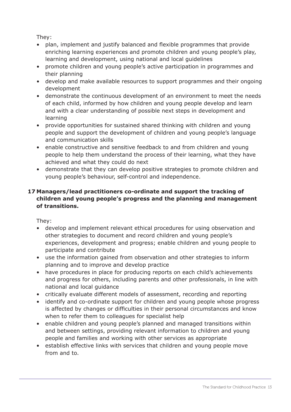They:

- plan, implement and justify balanced and flexible programmes that provide enriching learning experiences and promote children and young people's play, learning and development, using national and local guidelines
- promote children and young people's active participation in programmes and their planning
- develop and make available resources to support programmes and their ongoing development
- demonstrate the continuous development of an environment to meet the needs of each child, informed by how children and young people develop and learn and with a clear understanding of possible next steps in development and learning
- provide opportunities for sustained shared thinking with children and young people and support the development of children and young people's language and communication skills
- enable constructive and sensitive feedback to and from children and young people to help them understand the process of their learning, what they have achieved and what they could do next
- demonstrate that they can develop positive strategies to promote children and young people's behaviour, self-control and independence.

#### **17 Managers/lead practitioners co-ordinate and support the tracking of children and young people's progress and the planning and management of transitions.**

- develop and implement relevant ethical procedures for using observation and other strategies to document and record children and young people's experiences, development and progress; enable children and young people to participate and contribute
- use the information gained from observation and other strategies to inform planning and to improve and develop practice
- have procedures in place for producing reports on each child's achievements and progress for others, including parents and other professionals, in line with national and local guidance
- critically evaluate different models of assessment, recording and reporting
- identify and co-ordinate support for children and young people whose progress is affected by changes or difficulties in their personal circumstances and know when to refer them to colleagues for specialist help
- enable children and young people's planned and managed transitions within and between settings, providing relevant information to children and young people and families and working with other services as appropriate
- establish effective links with services that children and young people move from and to.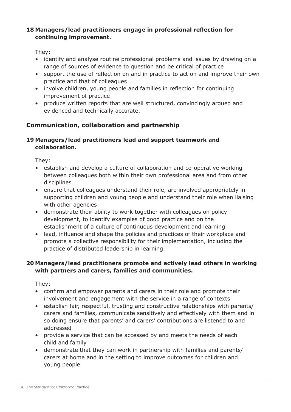#### **18 Managers/lead practitioners engage in professional reflection for continuing improvement.**

They:

- identify and analyse routine professional problems and issues by drawing on a range of sources of evidence to question and be critical of practice
- support the use of reflection on and in practice to act on and improve their own practice and that of colleagues
- involve children, young people and families in reflection for continuing improvement of practice
- produce written reports that are well structured, convincingly argued and evidenced and technically accurate.

### **Communication, collaboration and partnership**

#### **19 Managers/lead practitioners lead and support teamwork and collaboration.**

They:

- establish and develop a culture of collaboration and co-operative working between colleagues both within their own professional area and from other disciplines
- ensure that colleagues understand their role, are involved appropriately in supporting children and young people and understand their role when liaising with other agencies
- demonstrate their ability to work together with colleagues on policy development, to identify examples of good practice and on the establishment of a culture of continuous development and learning
- lead, influence and shape the policies and practices of their workplace and promote a collective responsibility for their implementation, including the practice of distributed leadership in learning.

#### **20 Managers/lead practitioners promote and actively lead others in working with partners and carers, families and communities.**

- confirm and empower parents and carers in their role and promote their involvement and engagement with the service in a range of contexts
- establish fair, respectful, trusting and constructive relationships with parents/ carers and families, communicate sensitively and effectively with them and in so doing ensure that parents' and carers' contributions are listened to and addressed
- provide a service that can be accessed by and meets the needs of each child and family
- demonstrate that they can work in partnership with families and parents/ carers at home and in the setting to improve outcomes for children and young people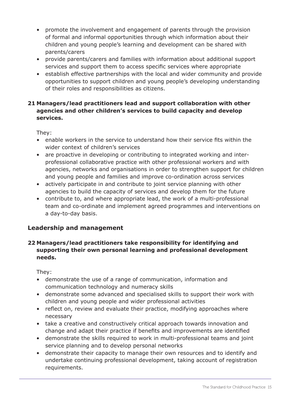- promote the involvement and engagement of parents through the provision of formal and informal opportunities through which information about their children and young people's learning and development can be shared with parents/carers
- provide parents/carers and families with information about additional support services and support them to access specific services where appropriate
- establish effective partnerships with the local and wider community and provide opportunities to support children and young people's developing understanding of their roles and responsibilities as citizens.

#### **21 Managers/lead practitioners lead and support collaboration with other agencies and other children's services to build capacity and develop services.**

They:

- enable workers in the service to understand how their service fits within the wider context of children's services
- are proactive in developing or contributing to integrated working and interprofessional collaborative practice with other professional workers and with agencies, networks and organisations in order to strengthen support for children and young people and families and improve co-ordination across services
- actively participate in and contribute to joint service planning with other agencies to build the capacity of services and develop them for the future
- contribute to, and where appropriate lead, the work of a multi-professional team and co-ordinate and implement agreed programmes and interventions on a day-to-day basis.

### **Leadership and management**

#### **22 Managers/lead practitioners take responsibility for identifying and supporting their own personal learning and professional development needs.**

- demonstrate the use of a range of communication, information and communication technology and numeracy skills
- demonstrate some advanced and specialised skills to support their work with children and young people and wider professional activities
- reflect on, review and evaluate their practice, modifying approaches where necessary
- take a creative and constructively critical approach towards innovation and change and adapt their practice if benefits and improvements are identified
- demonstrate the skills required to work in multi-professional teams and joint service planning and to develop personal networks
- demonstrate their capacity to manage their own resources and to identify and undertake continuing professional development, taking account of registration requirements.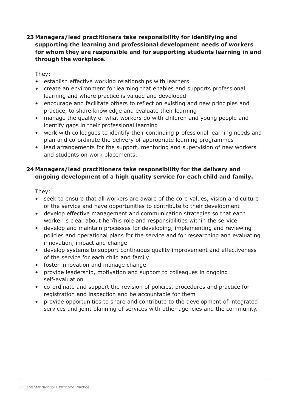**23 Managers/lead practitioners take responsibility for identifying and supporting the learning and professional development needs of workers for whom they are responsible and for supporting students learning in and through the workplace.**

They:

- establish effective working relationships with learners
- create an environment for learning that enables and supports professional learning and where practice is valued and developed
- encourage and facilitate others to reflect on existing and new principles and practice, to share knowledge and evaluate their learning
- manage the quality of what workers do with children and young people and identify gaps in their professional learning
- work with colleagues to identify their continuing professional learning needs and plan and co-ordinate the delivery of appropriate learning programmes
- lead arrangements for the support, mentoring and supervision of new workers and students on work placements.

#### **24 Managers/lead practitioners take responsibility for the delivery and ongoing development of a high quality service for each child and family.**

- seek to ensure that all workers are aware of the core values, vision and culture of the service and have opportunities to contribute to their development
- develop effective management and communication strategies so that each worker is clear about her/his role and responsibilities within the service
- develop and maintain processes for developing, implementing and reviewing policies and operational plans for the service and for researching and evaluating innovation, impact and change
- develop systems to support continuous quality improvement and effectiveness of the service for each child and family
- foster innovation and manage change
- provide leadership, motivation and support to colleagues in ongoing self-evaluation
- co-ordinate and support the revision of policies, procedures and practice for registration and inspection and be accountable for them
- provide opportunities to share and contribute to the development of integrated services and joint planning of services with other agencies and the community.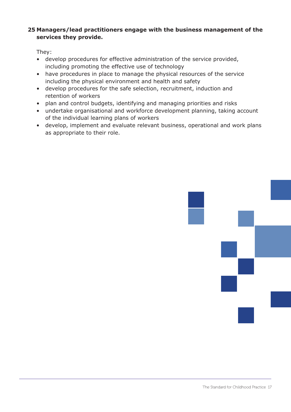#### **25 Managers/lead practitioners engage with the business management of the services they provide.**

- develop procedures for effective administration of the service provided, including promoting the effective use of technology
- have procedures in place to manage the physical resources of the service including the physical environment and health and safety
- develop procedures for the safe selection, recruitment, induction and retention of workers
- plan and control budgets, identifying and managing priorities and risks
- undertake organisational and workforce development planning, taking account of the individual learning plans of workers
- develop, implement and evaluate relevant business, operational and work plans as appropriate to their role.

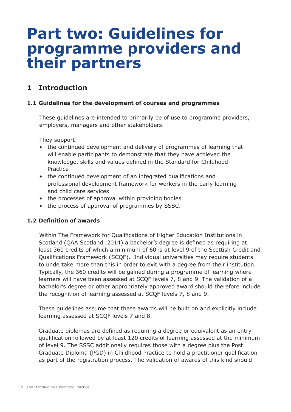# **Part two: Guidelines for programme providers and their partners**

## **1 Introduction**

#### **1.1 Guidelines for the development of courses and programmes**

These guidelines are intended to primarily be of use to programme providers, employers, managers and other stakeholders.

They support:

- the continued development and delivery of programmes of learning that will enable participants to demonstrate that they have achieved the knowledge, skills and values defined in the Standard for Childhood Practice
- the continued development of an integrated qualifications and professional development framework for workers in the early learning and child care services
- the processes of approval within providing bodies
- the process of approval of programmes by SSSC.

#### **1.2 Definition of awards**

Within The Framework for Qualifications of Higher Education Institutions in Scotland (QAA Scotland, 2014) a bachelor's degree is defined as requiring at least 360 credits of which a minimum of 60 is at level 9 of the Scottish Credit and Qualifications Framework (SCQF). Individual universities may require students to undertake more than this in order to exit with a degree from their institution. Typically, the 360 credits will be gained during a programme of learning where learners will have been assessed at SCQF levels 7, 8 and 9. The validation of a bachelor's degree or other appropriately approved award should therefore include the recognition of learning assessed at SCQF levels 7, 8 and 9.

These guidelines assume that these awards will be built on and explicitly include learning assessed at SCQF levels 7 and 8.

Graduate diplomas are defined as requiring a degree or equivalent as an entry qualification followed by at least 120 credits of learning assessed at the minimum of level 9. The SSSC additionally requires those with a degree plus the Post Graduate Diploma (PGD) in Childhood Practice to hold a practitioner qualification as part of the registration process. The validation of awards of this kind should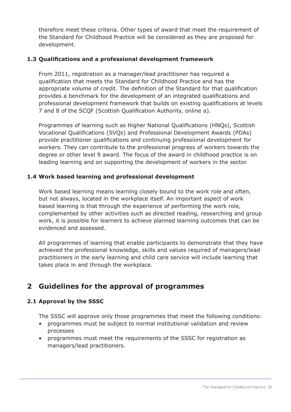therefore meet these criteria. Other types of award that meet the requirement of the Standard for Childhood Practice will be considered as they are proposed for development.

#### **1.3 Qualifications and a professional development framework**

From 2011, registration as a manager/lead practitioner has required a qualification that meets the Standard for Childhood Practice and has the appropriate volume of credit. The definition of the Standard for that qualification provides a benchmark for the development of an integrated qualifications and professional development framework that builds on existing qualifications at levels 7 and 8 of the SCQF (Scottish Qualification Authority, online a).

Programmes of learning such as Higher National Qualifications (HNQs), Scottish Vocational Qualifications (SVQs) and Professional Development Awards (PDAs) provide practitioner qualifications and continuing professional development for workers. They can contribute to the professional progress of workers towards the degree or other level 9 award. The focus of the award in childhood practice is on leading learning and on supporting the development of workers in the sector.

#### **1.4 Work based learning and professional development**

Work based learning means learning closely bound to the work role and often, but not always, located in the workplace itself. An important aspect of work based learning is that through the experience of performing the work role, complemented by other activities such as directed reading, researching and group work, it is possible for learners to achieve planned learning outcomes that can be evidenced and assessed.

All programmes of learning that enable participants to demonstrate that they have achieved the professional knowledge, skills and values required of managers/lead practitioners in the early learning and child care service will include learning that takes place in and through the workplace.

## **2 Guidelines for the approval of programmes**

### **2.1 Approval by the SSSC**

The SSSC will approve only those programmes that meet the following conditions:

- programmes must be subject to normal institutional validation and review processes
- programmes must meet the requirements of the SSSC for registration as managers/lead practitioners.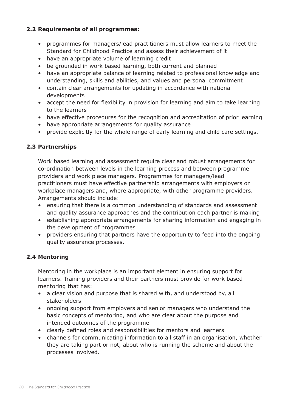#### **2.2 Requirements of all programmes:**

- programmes for managers/lead practitioners must allow learners to meet the Standard for Childhood Practice and assess their achievement of it
- have an appropriate volume of learning credit
- be grounded in work based learning, both current and planned
- have an appropriate balance of learning related to professional knowledge and understanding, skills and abilities, and values and personal commitment
- contain clear arrangements for updating in accordance with national developments
- accept the need for flexibility in provision for learning and aim to take learning to the learners
- have effective procedures for the recognition and accreditation of prior learning
- have appropriate arrangements for quality assurance
- provide explicitly for the whole range of early learning and child care settings.

#### **2.3 Partnerships**

Work based learning and assessment require clear and robust arrangements for co-ordination between levels in the learning process and between programme providers and work place managers. Programmes for managers/lead practitioners must have effective partnership arrangements with employers or workplace managers and, where appropriate, with other programme providers. Arrangements should include:

- ensuring that there is a common understanding of standards and assessment and quality assurance approaches and the contribution each partner is making
- establishing appropriate arrangements for sharing information and engaging in the development of programmes
- providers ensuring that partners have the opportunity to feed into the ongoing quality assurance processes.

#### **2.4 Mentoring**

Mentoring in the workplace is an important element in ensuring support for learners. Training providers and their partners must provide for work based mentoring that has:

- a clear vision and purpose that is shared with, and understood by, all stakeholders
- ongoing support from employers and senior managers who understand the basic concepts of mentoring, and who are clear about the purpose and intended outcomes of the programme
- clearly defined roles and responsibilities for mentors and learners
- channels for communicating information to all staff in an organisation, whether they are taking part or not, about who is running the scheme and about the processes involved.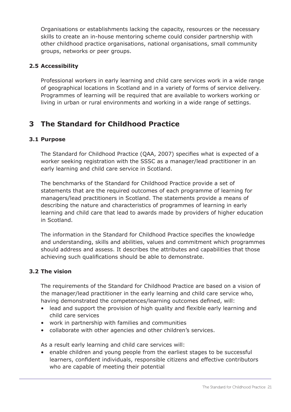Organisations or establishments lacking the capacity, resources or the necessary skills to create an in-house mentoring scheme could consider partnership with other childhood practice organisations, national organisations, small community groups, networks or peer groups.

#### **2.5 Accessibility**

Professional workers in early learning and child care services work in a wide range of geographical locations in Scotland and in a variety of forms of service delivery. Programmes of learning will be required that are available to workers working or living in urban or rural environments and working in a wide range of settings.

## **3 The Standard for Childhood Practice**

#### **3.1 Purpose**

The Standard for Childhood Practice (QAA, 2007) specifies what is expected of a worker seeking registration with the SSSC as a manager/lead practitioner in an early learning and child care service in Scotland.

The benchmarks of the Standard for Childhood Practice provide a set of statements that are the required outcomes of each programme of learning for managers/lead practitioners in Scotland. The statements provide a means of describing the nature and characteristics of programmes of learning in early learning and child care that lead to awards made by providers of higher education in Scotland.

The information in the Standard for Childhood Practice specifies the knowledge and understanding, skills and abilities, values and commitment which programmes should address and assess. It describes the attributes and capabilities that those achieving such qualifications should be able to demonstrate.

#### **3.2 The vision**

The requirements of the Standard for Childhood Practice are based on a vision of the manager/lead practitioner in the early learning and child care service who, having demonstrated the competences/learning outcomes defined, will:

- lead and support the provision of high quality and flexible early learning and child care services
- work in partnership with families and communities
- collaborate with other agencies and other children's services.

As a result early learning and child care services will:

• enable children and young people from the earliest stages to be successful learners, confident individuals, responsible citizens and effective contributors who are capable of meeting their potential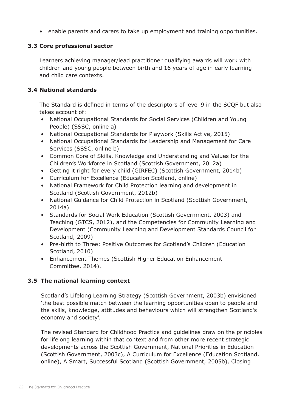• enable parents and carers to take up employment and training opportunities.

#### **3.3 Core professional sector**

Learners achieving manager/lead practitioner qualifying awards will work with children and young people between birth and 16 years of age in early learning and child care contexts.

#### **3.4 National standards**

The Standard is defined in terms of the descriptors of level 9 in the SCQF but also takes account of:

- National Occupational Standards for Social Services (Children and Young People) (SSSC, online a)
- National Occupational Standards for Playwork (Skills Active, 2015)
- National Occupational Standards for Leadership and Management for Care Services (SSSC, online b)
- Common Core of Skills, Knowledge and Understanding and Values for the Children's Workforce in Scotland (Scottish Government, 2012a)
- Getting it right for every child (GIRFEC) (Scottish Government, 2014b)
- Curriculum for Excellence (Education Scotland, online)
- National Framework for Child Protection learning and development in Scotland (Scottish Government, 2012b)
- National Guidance for Child Protection in Scotland (Scottish Government, 2014a)
- Standards for Social Work Education (Scottish Government, 2003) and Teaching (GTCS, 2012), and the Competencies for Community Learning and Development (Community Learning and Development Standards Council for Scotland, 2009)
- Pre-birth to Three: Positive Outcomes for Scotland's Children (Education Scotland, 2010)
- Enhancement Themes (Scottish Higher Education Enhancement Committee, 2014).

#### **3.5 The national learning context**

Scotland's Lifelong Learning Strategy (Scottish Government, 2003b) envisioned 'the best possible match between the learning opportunities open to people and the skills, knowledge, attitudes and behaviours which will strengthen Scotland's economy and society'.

The revised Standard for Childhood Practice and guidelines draw on the principles for lifelong learning within that context and from other more recent strategic developments across the Scottish Government, National Priorities in Education (Scottish Government, 2003c), A Curriculum for Excellence (Education Scotland, online), A Smart, Successful Scotland (Scottish Government, 2005b), Closing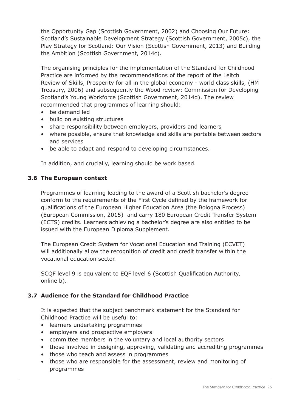the Opportunity Gap (Scottish Government, 2002) and Choosing Our Future: Scotland's Sustainable Development Strategy (Scottish Government, 2005c), the Play Strategy for Scotland: Our Vision (Scottish Government, 2013) and Building the Ambition (Scottish Government, 2014c).

The organising principles for the implementation of the Standard for Childhood Practice are informed by the recommendations of the report of the Leitch Review of Skills, Prosperity for all in the global economy - world class skills, (HM Treasury, 2006) and subsequently the Wood review: Commission for Developing Scotland's Young Workforce (Scottish Government, 2014d). The review recommended that programmes of learning should:

- be demand led
- build on existing structures
- share responsibility between employers, providers and learners
- where possible, ensure that knowledge and skills are portable between sectors and services
- be able to adapt and respond to developing circumstances.

In addition, and crucially, learning should be work based.

#### **3.6 The European context**

Programmes of learning leading to the award of a Scottish bachelor's degree conform to the requirements of the First Cycle defined by the framework for qualifications of the European Higher Education Area (the Bologna Process) (European Commission, 2015) and carry 180 European Credit Transfer System (ECTS) credits. Learners achieving a bachelor's degree are also entitled to be issued with the European Diploma Supplement.

The European Credit System for Vocational Education and Training (ECVET) will additionally allow the recognition of credit and credit transfer within the vocational education sector.

SCQF level 9 is equivalent to EQF level 6 (Scottish Qualification Authority, online b).

#### **3.7 Audience for the Standard for Childhood Practice**

It is expected that the subject benchmark statement for the Standard for Childhood Practice will be useful to:

- learners undertaking programmes
- employers and prospective employers
- committee members in the voluntary and local authority sectors
- those involved in designing, approving, validating and accrediting programmes
- those who teach and assess in programmes
- those who are responsible for the assessment, review and monitoring of programmes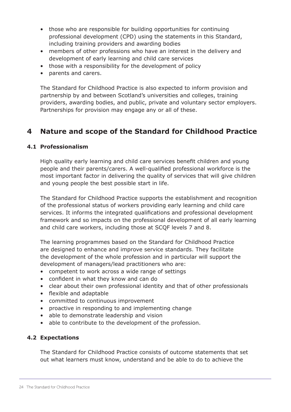- those who are responsible for building opportunities for continuing professional development (CPD) using the statements in this Standard, including training providers and awarding bodies
- members of other professions who have an interest in the delivery and development of early learning and child care services
- those with a responsibility for the development of policy
- parents and carers.

The Standard for Childhood Practice is also expected to inform provision and partnership by and between Scotland's universities and colleges, training providers, awarding bodies, and public, private and voluntary sector employers. Partnerships for provision may engage any or all of these.

## **4 Nature and scope of the Standard for Childhood Practice**

#### **4.1 Professionalism**

High quality early learning and child care services benefit children and young people and their parents/carers. A well-qualified professional workforce is the most important factor in delivering the quality of services that will give children and young people the best possible start in life.

The Standard for Childhood Practice supports the establishment and recognition of the professional status of workers providing early learning and child care services. It informs the integrated qualifications and professional development framework and so impacts on the professional development of all early learning and child care workers, including those at SCQF levels 7 and 8.

The learning programmes based on the Standard for Childhood Practice are designed to enhance and improve service standards. They facilitate the development of the whole profession and in particular will support the development of managers/lead practitioners who are:

- competent to work across a wide range of settings
- confident in what they know and can do
- clear about their own professional identity and that of other professionals
- flexible and adaptable
- committed to continuous improvement
- proactive in responding to and implementing change
- able to demonstrate leadership and vision
- able to contribute to the development of the profession.

#### **4.2 Expectations**

The Standard for Childhood Practice consists of outcome statements that set out what learners must know, understand and be able to do to achieve the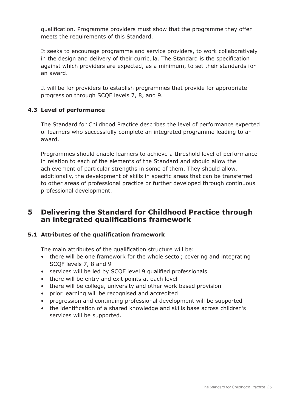qualification. Programme providers must show that the programme they offer meets the requirements of this Standard.

It seeks to encourage programme and service providers, to work collaboratively in the design and delivery of their curricula. The Standard is the specification against which providers are expected, as a minimum, to set their standards for an award.

It will be for providers to establish programmes that provide for appropriate progression through SCQF levels 7, 8, and 9.

#### **4.3 Level of performance**

The Standard for Childhood Practice describes the level of performance expected of learners who successfully complete an integrated programme leading to an award.

Programmes should enable learners to achieve a threshold level of performance in relation to each of the elements of the Standard and should allow the achievement of particular strengths in some of them. They should allow, additionally, the development of skills in specific areas that can be transferred to other areas of professional practice or further developed through continuous professional development.

### **5 Delivering the Standard for Childhood Practice through an integrated qualifications framework**

#### **5.1 Attributes of the qualification framework**

The main attributes of the qualification structure will be:

- there will be one framework for the whole sector, covering and integrating SCQF levels 7, 8 and 9
- services will be led by SCQF level 9 qualified professionals
- there will be entry and exit points at each level
- there will be college, university and other work based provision
- prior learning will be recognised and accredited
- progression and continuing professional development will be supported
- the identification of a shared knowledge and skills base across children's services will be supported.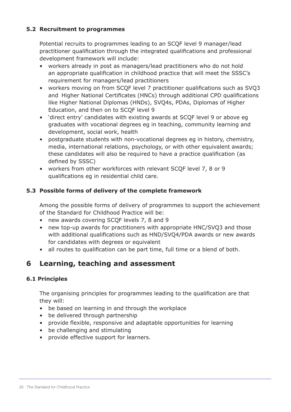#### **5.2 Recruitment to programmes**

Potential recruits to programmes leading to an SCQF level 9 manager/lead practitioner qualification through the integrated qualifications and professional development framework will include:

- workers already in post as managers/lead practitioners who do not hold an appropriate qualification in childhood practice that will meet the SSSC's requirement for managers/lead practitioners
- workers moving on from SCQF level 7 practitioner qualifications such as SVQ3 and Higher National Certificates (HNCs) through additional CPD qualifications like Higher National Diplomas (HNDs), SVQ4s, PDAs, Diplomas of Higher Education, and then on to SCQF level 9
- 'direct entry' candidates with existing awards at SCQF level 9 or above eg graduates with vocational degrees eg in teaching, community learning and development, social work, health
- postgraduate students with non-vocational degrees eg in history, chemistry, media, international relations, psychology, or with other equivalent awards; these candidates will also be required to have a practice qualification (as defined by SSSC)
- workers from other workforces with relevant SCQF level 7, 8 or 9 qualifications eg in residential child care.

#### **5.3 Possible forms of delivery of the complete framework**

Among the possible forms of delivery of programmes to support the achievement of the Standard for Childhood Practice will be:

- new awards covering SCQF levels 7, 8 and 9
- new top-up awards for practitioners with appropriate HNC/SVQ3 and those with additional qualifications such as HND/SVQ4/PDA awards or new awards for candidates with degrees or equivalent
- all routes to qualification can be part time, full time or a blend of both.

## **6 Learning, teaching and assessment**

#### **6.1 Principles**

The organising principles for programmes leading to the qualification are that they will:

- be based on learning in and through the workplace
- be delivered through partnership
- provide flexible, responsive and adaptable opportunities for learning
- be challenging and stimulating
- provide effective support for learners.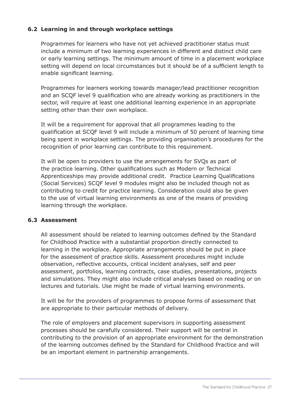#### **6.2 Learning in and through workplace settings**

Programmes for learners who have not yet achieved practitioner status must include a minimum of two learning experiences in different and distinct child care or early learning settings. The minimum amount of time in a placement workplace setting will depend on local circumstances but it should be of a sufficient length to enable significant learning.

Programmes for learners working towards manager/lead practitioner recognition and an SCQF level 9 qualification who are already working as practitioners in the sector, will require at least one additional learning experience in an appropriate setting other than their own workplace.

It will be a requirement for approval that all programmes leading to the qualification at SCQF level 9 will include a minimum of 50 percent of learning time being spent in workplace settings. The providing organisation's procedures for the recognition of prior learning can contribute to this requirement.

It will be open to providers to use the arrangements for SVQs as part of the practice learning. Other qualifications such as Modern or Technical Apprenticeships may provide additional credit. Practice Learning Qualifications (Social Services) SCQF level 9 modules might also be included though not as contributing to credit for practice learning. Consideration could also be given to the use of virtual learning environments as one of the means of providing learning through the workplace.

#### **6.3 Assessment**

All assessment should be related to learning outcomes defined by the Standard for Childhood Practice with a substantial proportion directly connected to learning in the workplace. Appropriate arrangements should be put in place for the assessment of practice skills. Assessment procedures might include observation, reflective accounts, critical incident analyses, self and peer assessment, portfolios, learning contracts, case studies, presentations, projects and simulations. They might also include critical analyses based on reading or on lectures and tutorials. Use might be made of virtual learning environments.

It will be for the providers of programmes to propose forms of assessment that are appropriate to their particular methods of delivery.

The role of employers and placement supervisors in supporting assessment processes should be carefully considered. Their support will be central in contributing to the provision of an appropriate environment for the demonstration of the learning outcomes defined by the Standard for Childhood Practice and will be an important element in partnership arrangements.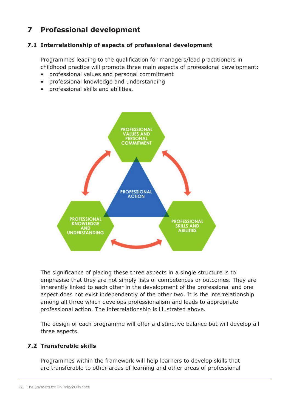## **7 Professional development**

#### **7.1 Interrelationship of aspects of professional development**

Programmes leading to the qualification for managers/lead practitioners in childhood practice will promote three main aspects of professional development:

- professional values and personal commitment
- professional knowledge and understanding
- professional skills and abilities.



The significance of placing these three aspects in a single structure is to emphasise that they are not simply lists of competences or outcomes. They are inherently linked to each other in the development of the professional and one aspect does not exist independently of the other two. It is the interrelationship among all three which develops professionalism and leads to appropriate professional action. The interrelationship is illustrated above.

The design of each programme will offer a distinctive balance but will develop all three aspects.

#### **7.2 Transferable skills**

Programmes within the framework will help learners to develop skills that are transferable to other areas of learning and other areas of professional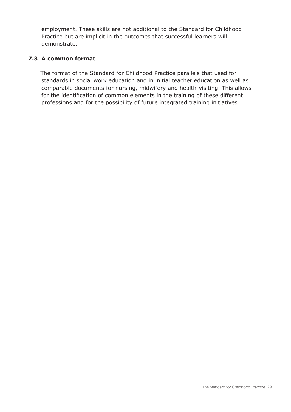employment. These skills are not additional to the Standard for Childhood Practice but are implicit in the outcomes that successful learners will demonstrate.

#### **7.3 A common format**

The format of the Standard for Childhood Practice parallels that used for standards in social work education and in initial teacher education as well as comparable documents for nursing, midwifery and health-visiting. This allows for the identification of common elements in the training of these different professions and for the possibility of future integrated training initiatives.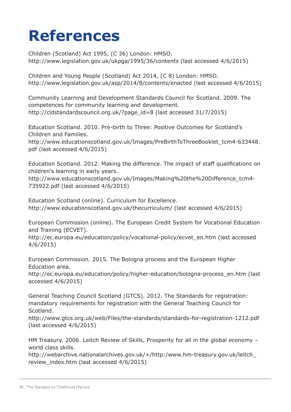# **References**

Children (Scotland) Act 1995, (C 36) London: HMSO. http://www.legislation.gov.uk/ukpga/1995/36/contents (last accessed 4/6/2015)

Children and Young People (Scotland) Act 2014, (C 8) London: HMSO. http://www.legislation.gov.uk/asp/2014/8/contents/enacted (last accessed 4/6/2015)

Community Learning and Development Standards Council for Scotland. 2009. The competences for community learning and development. http://cldstandardscouncil.org.uk/?page\_id=8 (last accessed 31/7/2015)

Education Scotland. 2010. Pre-birth to Three: Positive Outcomes for Scotland's Children and Families.

http://www.educationscotland.gov.uk/Images/PreBirthToThreeBooklet\_tcm4-633448. pdf (last accessed 4/6/2015)

Education Scotland. 2012. Making the difference. The impact of staff qualifications on children's learning in early years.

http://www.educationscotland.gov.uk/Images/Making%20the%20Difference\_tcm4- 735922.pdf (last accessed 4/6/2015)

Education Scotland (online). Curriculum for Excellence. http://www.educationscotland.gov.uk/thecurriculum/ (last accessed 4/6/2015)

European Commission (online). The European Credit System for Vocational Education and Training (ECVET).

http://ec.europa.eu/education/policy/vocational-policy/ecvet\_en.htm (last accessed 4/6/2015)

European Commission. 2015. The Bologna process and the European Higher Education area.

http://ec.europa.eu/education/policy/higher-education/bologna-process\_en.htm (last accessed 4/6/2015)

General Teaching Council Scotland (GTCS). 2012. The Standards for registration: mandatory requirements for registration with the General Teaching Council for Scotland.

http://www.gtcs.org.uk/web/Files/the-standards/standards-for-registration-1212.pdf (last accessed 4/6/2015)

HM Treasury. 2006. Leitch Review of Skills, Prosperity for all in the global economy – world class skills.

http://webarchive.nationalarchives.gov.uk/+/http:/www.hm-treasury.gov.uk/leitch\_ review\_index.htm (last accessed 4/6/2015)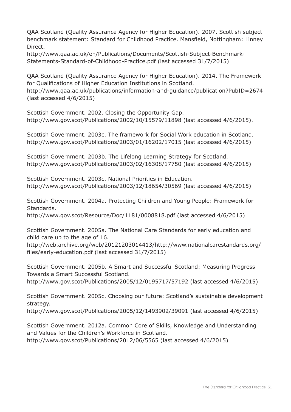QAA Scotland (Quality Assurance Agency for Higher Education). 2007. Scottish subject benchmark statement: Standard for Childhood Practice. Mansfield, Nottingham: Linney Direct.

http://www.qaa.ac.uk/en/Publications/Documents/Scottish-Subject-Benchmark-Statements-Standard-of-Childhood-Practice.pdf (last accessed 31/7/2015)

QAA Scotland (Quality Assurance Agency for Higher Education). 2014. The Framework for Qualifications of Higher Education Institutions in Scotland.

http://www.qaa.ac.uk/publications/information-and-guidance/publication?PubID=2674 (last accessed 4/6/2015)

Scottish Government. 2002. Closing the Opportunity Gap. http://www.gov.scot/Publications/2002/10/15579/11898 (last accessed 4/6/2015).

Scottish Government. 2003c. The framework for Social Work education in Scotland. http://www.gov.scot/Publications/2003/01/16202/17015 (last accessed 4/6/2015)

Scottish Government. 2003b. The Lifelong Learning Strategy for Scotland. http://www.gov.scot/Publications/2003/02/16308/17750 (last accessed 4/6/2015)

Scottish Government. 2003c. National Priorities in Education. http://www.gov.scot/Publications/2003/12/18654/30569 (last accessed 4/6/2015)

Scottish Government. 2004a. Protecting Children and Young People: Framework for Standards.

http://www.gov.scot/Resource/Doc/1181/0008818.pdf (last accessed 4/6/2015)

Scottish Government. 2005a. The National Care Standards for early education and child care up to the age of 16.

http://web.archive.org/web/20121203014413/http://www.nationalcarestandards.org/ files/early-education.pdf (last accessed 31/7/2015)

Scottish Government. 2005b. A Smart and Successful Scotland: Measuring Progress Towards a Smart Successful Scotland.

http://www.gov.scot/Publications/2005/12/0195717/57192 (last accessed 4/6/2015)

Scottish Government. 2005c. Choosing our future: Scotland's sustainable development strategy.

http://www.gov.scot/Publications/2005/12/1493902/39091 (last accessed 4/6/2015)

Scottish Government. 2012a. Common Core of Skills, Knowledge and Understanding and Values for the Children's Workforce in Scotland. http://www.gov.scot/Publications/2012/06/5565 (last accessed 4/6/2015)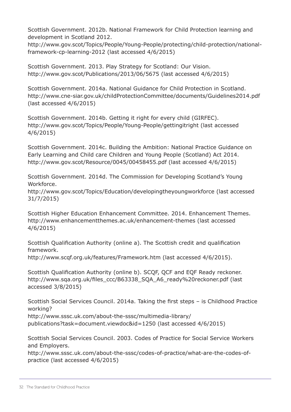Scottish Government. 2012b. National Framework for Child Protection learning and development in Scotland 2012.

http://www.gov.scot/Topics/People/Young-People/protecting/child-protection/nationalframework-cp-learning-2012 (last accessed 4/6/2015)

Scottish Government. 2013. Play Strategy for Scotland: Our Vision. http://www.gov.scot/Publications/2013/06/5675 (last accessed 4/6/2015)

Scottish Government. 2014a. National Guidance for Child Protection in Scotland. http://www.cne-siar.gov.uk/childProtectionCommittee/documents/Guidelines2014.pdf (last accessed 4/6/2015)

Scottish Government. 2014b. Getting it right for every child (GIRFEC). http://www.gov.scot/Topics/People/Young-People/gettingitright (last accessed 4/6/2015)

Scottish Government. 2014c. Building the Ambition: National Practice Guidance on Early Learning and Child care Children and Young People (Scotland) Act 2014. http://www.gov.scot/Resource/0045/00458455.pdf (last accessed 4/6/2015)

Scottish Government. 2014d. The Commission for Developing Scotland's Young Workforce.

http://www.gov.scot/Topics/Education/developingtheyoungworkforce (last accessed 31/7/2015)

Scottish Higher Education Enhancement Committee. 2014. Enhancement Themes. http://www.enhancementthemes.ac.uk/enhancement-themes (last accessed 4/6/2015)

Scottish Qualification Authority (online a). The Scottish credit and qualification framework.

http://www.scqf.org.uk/features/Framework.htm (last accessed 4/6/2015).

Scottish Qualification Authority (online b). SCQF, QCF and EQF Ready reckoner. http://www.sqa.org.uk/files\_ccc/B63338\_SQA\_A6\_ready%20reckoner.pdf (last accessed 3/8/2015)

Scottish Social Services Council. 2014a. Taking the first steps – is Childhood Practice working?

http://www.sssc.uk.com/about-the-sssc/multimedia-library/ publications?task=document.viewdoc&id=1250 (last accessed 4/6/2015)

Scottish Social Services Council. 2003. Codes of Practice for Social Service Workers and Employers.

http://www.sssc.uk.com/about-the-sssc/codes-of-practice/what-are-the-codes-ofpractice (last accessed 4/6/2015)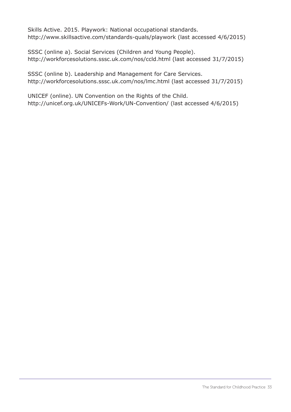Skills Active. 2015. Playwork: National occupational standards. http://www.skillsactive.com/standards-quals/playwork (last accessed 4/6/2015)

SSSC (online a). Social Services (Children and Young People). http://workforcesolutions.sssc.uk.com/nos/ccld.html (last accessed 31/7/2015)

SSSC (online b). Leadership and Management for Care Services. http://workforcesolutions.sssc.uk.com/nos/lmc.html (last accessed 31/7/2015)

UNICEF (online). UN Convention on the Rights of the Child. http://unicef.org.uk/UNICEFs-Work/UN-Convention/ (last accessed 4/6/2015)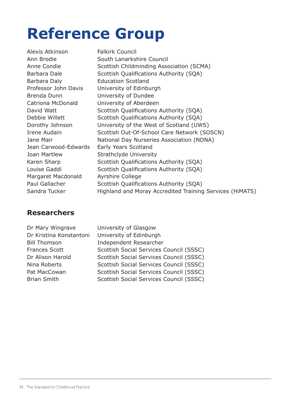# **Reference Group**

| Alexis Atkinson      | <b>Falkirk Council</b>                                   |
|----------------------|----------------------------------------------------------|
| Ann Brodie           | South Lanarkshire Council                                |
| Anne Condie          | Scottish Childminding Association (SCMA)                 |
| Barbara Dale         | Scottish Qualifications Authority (SQA)                  |
| Barbara Daly         | <b>Education Scotland</b>                                |
| Professor John Davis | University of Edinburgh                                  |
| Brenda Dunn          | University of Dundee                                     |
| Catriona McDonald    | University of Aberdeen                                   |
| David Watt           | Scottish Qualifications Authority (SQA)                  |
| Debbie Willett       | Scottish Qualifications Authority (SQA)                  |
| Dorothy Johnson      | University of the West of Scotland (UWS)                 |
| Irene Audain         | Scottish Out-Of-School Care Network (SOSCN)              |
| Jane Mair            | National Day Nurseries Association (NDNA)                |
| Jean Carwood-Edwards | Early Years Scotland                                     |
| Joan Martlew         | Strathclyde University                                   |
| Karen Sharp          | Scottish Qualifications Authority (SQA)                  |
| Louise Gaddi         | Scottish Qualifications Authority (SQA)                  |
| Margaret Macdonald   | Ayrshire College                                         |
| Paul Gallacher       | Scottish Qualifications Authority (SQA)                  |
| Sandra Tucker        | Highland and Moray Accredited Training Services (HiMATS) |

## **Researchers**

| University of Glasgow                   |
|-----------------------------------------|
| University of Edinburgh                 |
| Independent Researcher                  |
| Scottish Social Services Council (SSSC) |
| Scottish Social Services Council (SSSC) |
| Scottish Social Services Council (SSSC) |
| Scottish Social Services Council (SSSC) |
| Scottish Social Services Council (SSSC) |
|                                         |